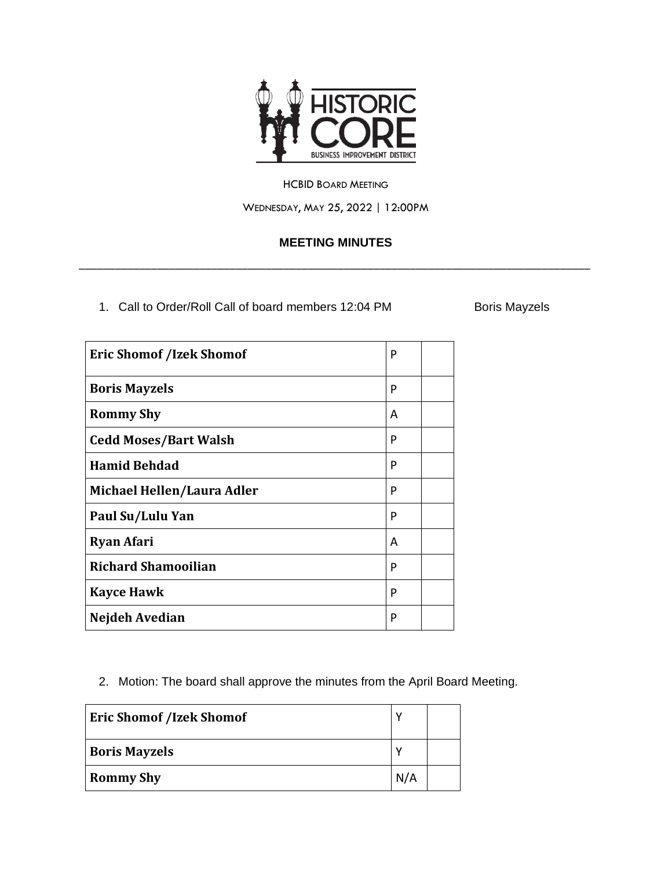

## HCBID BOARD MEETING

WEDNESDAY, MAY 25, 2022 | 12:00PM

## **MEETING MINUTES**

\_\_\_\_\_\_\_\_\_\_\_\_\_\_\_\_\_\_\_\_\_\_\_\_\_\_\_\_\_\_\_\_\_\_\_\_\_\_\_\_\_\_\_\_\_\_\_\_\_\_\_\_\_\_\_\_\_\_\_\_\_\_\_\_\_\_\_\_\_\_\_\_\_\_\_\_\_\_\_\_\_\_\_\_\_

1. Call to Order/Roll Call of board members 12:04 PM Boris Mayzels

| <b>Eric Shomof /Izek Shomof</b> | P |  |
|---------------------------------|---|--|
| <b>Boris Mayzels</b>            | P |  |
| <b>Rommy Shy</b>                | A |  |
| <b>Cedd Moses/Bart Walsh</b>    | P |  |
| <b>Hamid Behdad</b>             | P |  |
| Michael Hellen/Laura Adler      | P |  |
| Paul Su/Lulu Yan                | P |  |
| <b>Ryan Afari</b>               | A |  |
| <b>Richard Shamooilian</b>      | P |  |
| <b>Kayce Hawk</b>               | P |  |
| Nejdeh Avedian                  | P |  |

## 2. Motion: The board shall approve the minutes from the April Board Meeting.

| <b>Eric Shomof /Izek Shomof</b> |  |
|---------------------------------|--|
| <b>Boris Mayzels</b>            |  |
| <b>Rommy Shy</b>                |  |